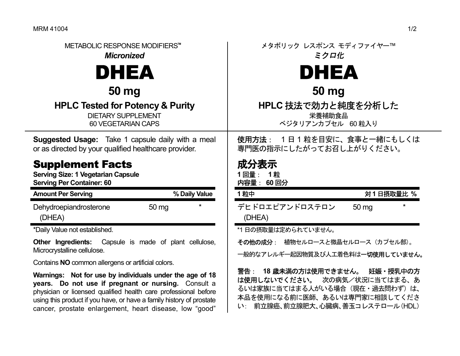| METABOLIC RESPONSE MODIFIERS™<br><b>Micronized</b>                                                         | メタボリック レスポンス モディファイヤー™<br>ミクロ化                                        |
|------------------------------------------------------------------------------------------------------------|-----------------------------------------------------------------------|
| <b>DHEA</b>                                                                                                | <b>DHEA</b>                                                           |
| 50 mg                                                                                                      | 50 mg                                                                 |
| <b>HPLC Tested for Potency &amp; Purity</b><br><b>DIETARY SUPPLEMENT</b><br><b>60 VEGETARIAN CAPS</b>      | HPLC 技法で効力と純度を分析した<br>栄養補助食品<br>べジタリアンカプセル 60粒入り                      |
| Suggested Usage: Take 1 capsule daily with a meal<br>or as directed by your qualified healthcare provider. | 1日1粒を目安に、食事と一緒にもしくは<br>使用方法:<br>専門医の指示にしたがってお召し上がりください。               |
| <b>Supplement Facts</b><br><b>Serving Size: 1 Vegetarian Capsule</b>                                       | 成分表示<br>1回量:<br>1粒                                                    |
| <b>Serving Per Container: 60</b>                                                                           | 内容量: 60回分                                                             |
| <b>Amount Per Serving</b><br>% Daily Value                                                                 | 対1日摂取量比%<br>1粒中                                                       |
| Dehydroepiandrosterone<br>50 mg<br>(DHEA)                                                                  | デヒドロエピアンドロステロン<br>50 mg<br>(DHEA)                                     |
| *Daily Value not established.                                                                              | *1日の摂取量は定められていません。                                                    |
| Other Ingredients: Capsule is made of plant cellulose,<br>Microcrystalline cellulose.                      | その他の成分: 植物セルロースと微晶セルロース (カプセル部)。                                      |
| Contains NO common allergens or artificial colors.                                                         | 一般的なアレルギー起因物質及び人工着色料は一切使用していません。<br>18 歳未満の方は使用できません。 妊娠・授乳中の方<br>警告: |